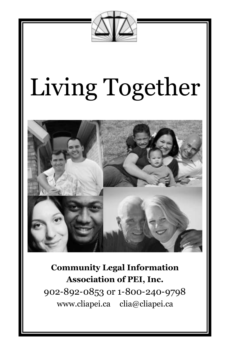

# Living Together



**Community Legal Information Association of PEI, Inc.** 902-892-0853 or 1-800-240-9798 www.cliapei.ca clia@cliapei.ca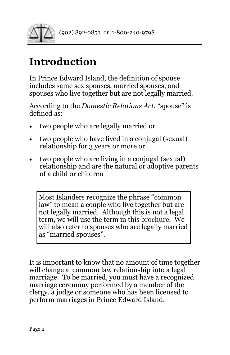

# **Introduction**

In Prince Edward Island, the definition of spouse includes same sex spouses, married spouses, and spouses who live together but are not legally married.

According to the *Domestic Relations Act*, "spouse" is defined as:

- two people who are legally married or
- two people who have lived in a conjugal (sexual) relationship for 3 years or more or
- two people who are living in a conjugal (sexual) relationship and are the natural or adoptive parents of a child or children

Most Islanders recognize the phrase "common law" to mean a couple who live together but are not legally married. Although this is not a legal term, we will use the term in this brochure. We will also refer to spouses who are legally married as "married spouses".

It is important to know that no amount of time together will change a common law relationship into a legal marriage. To be married, you must have a recognized marriage ceremony performed by a member of the clergy, a judge or someone who has been licensed to perform marriages in Prince Edward Island.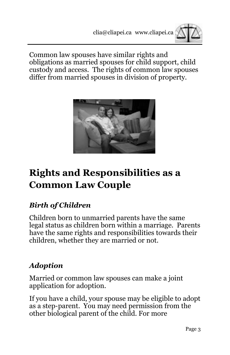

Common law spouses have similar rights and obligations as married spouses for child support, child custody and access. The rights of common law spouses differ from married spouses in division of property.



# **Rights and Resp0nsibilities as a Common Law Couple**

# *Birth of Children*

Children born to unmarried parents have the same legal status as children born within a marriage. Parents have the same rights and responsibilities towards their children, whether they are married or not.

# *Adoption*

Married or common law spouses can make a joint application for adoption.

If you have a child, your spouse may be eligible to adopt as a step-parent. You may need permission from the other biological parent of the child. For more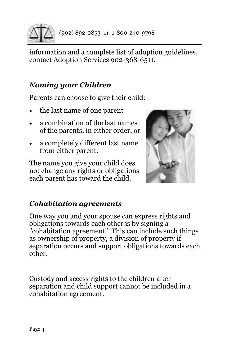

information and a complete list of adoption guidelines, contact Adoption Services 902-368-6511.

#### *Naming your Children*

Parents can choose to give their child:

- the last name of one parent
- a combination of the last names of the parents, in either order, or
- a completely different last name from either parent.

The name you give your child does not change any rights or obligations each parent has toward the child.



#### *Cohabitation agreements*

One way you and your spouse can express rights and obligations towards each other is by signing a "cohabitation agreement". This can include such things as ownership of property, a division of property if separation occurs and support obligations towards each other.

Custody and access rights to the children after separation and child support cannot be included in a cohabitation agreement.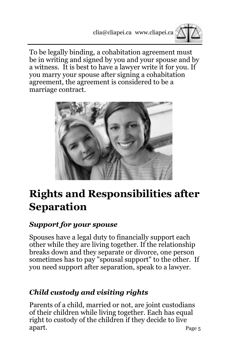

To be legally binding, a cohabitation agreement must be in writing and signed by you and your spouse and by a witness. It is best to have a lawyer write it for you. If you marry your spouse after signing a cohabitation agreement, the agreement is considered to be a marriage contract.



# **Rights and Responsibilities after Separation**

#### *Support for your spouse*

Spouses have a legal duty to financially support each other while they are living together. If the relationship breaks down and they separate or divorce, one person sometimes has to pay "spousal support" to the other. If you need support after separation, speak to a lawyer.

# *Child custody and visiting rights*

Page 5 Parents of a child, married or not, are joint custodians of their children while living together. Each has equal right to custody of the children if they decide to live apart.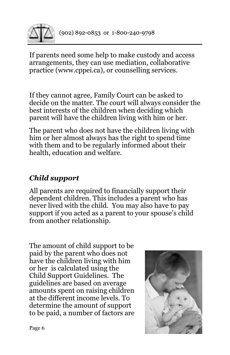

If parents need some help to make custody and access arrangements, they can use mediation, collaborative practice (www.cppei.ca), or counselling services.

If they cannot agree, Family Court can be asked to decide on the matter. The court will always consider the best interests of the children when deciding which parent will have the children living with him or her.

The parent who does not have the children living with him or her almost always has the right to spend time with them and to be regularly informed about their health, education and welfare.

# *Child support*

All parents are required to financially support their dependent children. This includes a parent who has never lived with the child. You may also have to pay support if you acted as a parent to your spouse's child from another relationship.

The amount of child support to be paid by the parent who does not have the children living with him or her is calculated using the Child Support Guidelines. The guidelines are based on average amounts spent on raising children at the different income levels. To determine the amount of support to be paid, a number of factors are

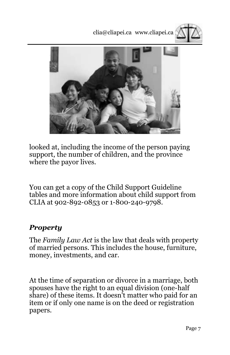clia@cliapei.ca www.cliapei.ca





looked at, including the income of the person paying support, the number of children, and the province where the payor lives.

You can get a copy of the Child Support Guideline tables and more information about child support from CLIA at 902-892-0853 or 1-800-240-9798.

#### *Property*

The *Family Law Act* is the law that deals with property of married persons. This includes the house, furniture, money, investments, and car.

At the time of separation or divorce in a marriage, both spouses have the right to an equal division (one-half share) of these items. It doesn't matter who paid for an item or if only one name is on the deed or registration papers.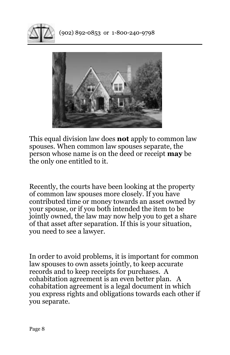



This equal division law does **not** apply to common law spouses. When common law spouses separate, the person whose name is on the deed or receipt **may** be the only one entitled to it.

Recently, the courts have been looking at the property of common law spouses more closely. If you have contributed time or money towards an asset owned by your spouse, or if you both intended the item to be jointly owned, the law may now help you to get a share of that asset after separation. If this is your situation, you need to see a lawyer.

In order to avoid problems, it is important for common law spouses to own assets jointly, to keep accurate records and to keep receipts for purchases. A cohabitation agreement is an even better plan. A cohabitation agreement is a legal document in which you express rights and obligations towards each other if you separate.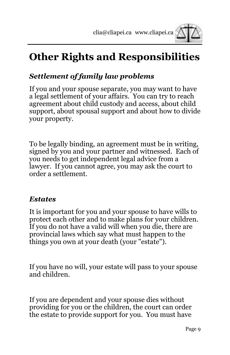

# **Other Rights and Responsibilities**

## *Settlement of family law problems*

If you and your spouse separate, you may want to have a legal settlement of your affairs. You can try to reach agreement about child custody and access, about child support, about spousal support and about how to divide your property.

To be legally binding, an agreement must be in writing, signed by you and your partner and witnessed. Each of you needs to get independent legal advice from a lawyer. If you cannot agree, you may ask the court to order a settlement.

#### *Estates*

It is important for you and your spouse to have wills to protect each other and to make plans for your children. If you do not have a valid will when you die, there are provincial laws which say what must happen to the things you own at your death (your "estate").

If you have no will, your estate will pass to your spouse and children.

If you are dependent and your spouse dies without providing for you or the children, the court can order the estate to provide support for you. You must have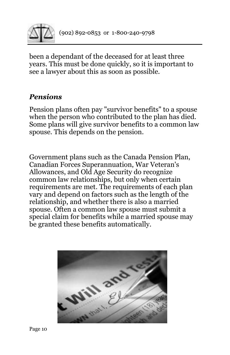

been a dependant of the deceased for at least three years. This must be done quickly, so it is important to see a lawyer about this as soon as possible.

#### *Pensions*

Pension plans often pay "survivor benefits" to a spouse when the person who contributed to the plan has died. Some plans will give survivor benefits to a common law spouse. This depends on the pension.

Government plans such as the Canada Pension Plan, Canadian Forces Superannuation, War Veteran's Allowances, and Old Age Security do recognize common law relationships, but only when certain requirements are met. The requirements of each plan vary and depend on factors such as the length of the relationship, and whether there is also a married spouse. Often a common law spouse must submit a special claim for benefits while a married spouse may be granted these benefits automatically.

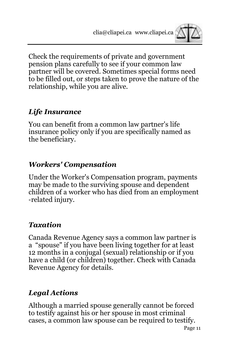

Check the requirements of private and government pension plans carefully to see if your common law partner will be covered. Sometimes special forms need to be filled out, or steps taken to prove the nature of the relationship, while you are alive.

## *Life Insurance*

You can benefit from a common law partner's life insurance policy only if you are specifically named as the beneficiary.

#### *Workers' Compensation*

Under the Worker's Compensation program, payments may be made to the surviving spouse and dependent children of a worker who has died from an employment -related injury.

#### *Taxation*

Canada Revenue Agency says a common law partner is a "spouse" if you have been living together for at least 12 months in a conjugal (sexual) relationship or if you have a child (or children) together. Check with Canada Revenue Agency for details.

# *Legal Actions*

Although a married spouse generally cannot be forced to testify against his or her spouse in most criminal cases, a common law spouse can be required to testify.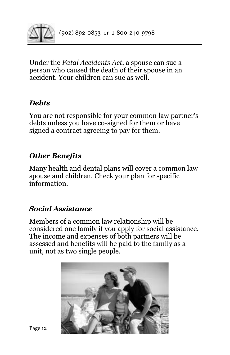

Under the *Fatal Accidents Act*, a spouse can sue a person who caused the death of their spouse in an accident. Your children can sue as well.

#### *Debts*

You are not responsible for your common law partner's debts unless you have co-signed for them or have signed a contract agreeing to pay for them.

#### *Other Benefits*

Many health and dental plans will cover a common law spouse and children. Check your plan for specific information.

### *Social Assistance*

Members of a common law relationship will be considered one family if you apply for social assistance. The income and expenses of both partners will be assessed and benefits will be paid to the family as a unit, not as two single people.

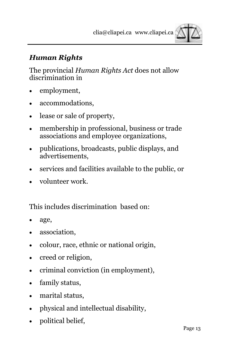

### *Human Rights*

The provincial *Human Rights Act* does not allow discrimination in

- employment,
- accommodations,
- lease or sale of property,
- membership in professional, business or trade associations and employee organizations,
- publications, broadcasts, public displays, and advertisements,
- services and facilities available to the public, or
- volunteer work.

This includes discrimination based on:

- age,
- association.
- colour, race, ethnic or national origin,
- creed or religion,
- criminal conviction (in employment),
- family status,
- marital status,
- physical and intellectual disability,
- political belief,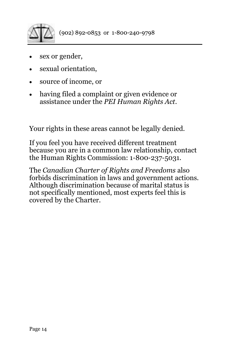

- sex or gender,
- sexual orientation,
- source of income, or
- having filed a complaint or given evidence or assistance under the *PEI Human Rights Act*.

Your rights in these areas cannot be legally denied.

If you feel you have received different treatment because you are in a common law relationship, contact the Human Rights Commission: 1-800-237-5031.

The *Canadian Charter of Rights and Freedoms* also forbids discrimination in laws and government actions. Although discrimination because of marital status is not specifically mentioned, most experts feel this is covered by the Charter.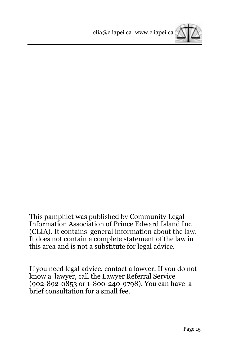

This pamphlet was published by Community Legal Information Association of Prince Edward Island Inc (CLIA). It contains general information about the law*.*  It does not contain a complete statement of the law in this area and is not a substitute for legal advice.

If you need legal advice, contact a lawyer. If you do not know a lawyer, call the Lawyer Referral Service (902-892-0853 or 1-800-240-9798). You can have a brief consultation for a small fee.